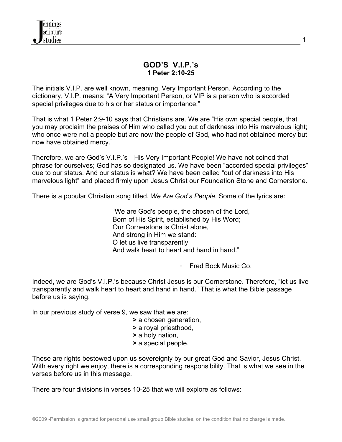# **GOD'S V.I.P.'s 1 Peter 2:10-25**

The initials V.I.P. are well known, meaning, Very Important Person. According to the dictionary, V.I.P. means: "A Very Important Person, or VIP is a person who is accorded special privileges due to his or her status or importance."

That is what 1 Peter 2:9-10 says that Christians are. We are "His own special people, that you may proclaim the praises of Him who called you out of darkness into His marvelous light; who once were not a people but are now the people of God, who had not obtained mercy but now have obtained mercy."

Therefore, we are God's V.I.P.'s—His Very Important People! We have not coined that phrase for ourselves; God has so designated us. We have been "accorded special privileges" due to our status. And our status is what? We have been called "out of darkness into His marvelous light" and placed firmly upon Jesus Christ our Foundation Stone and Cornerstone.

There is a popular Christian song titled, *We Are God's People*. Some of the lyrics are:

"We are God's people, the chosen of the Lord, Born of His Spirit, established by His Word; Our Cornerstone is Christ alone, And strong in Him we stand: O let us live transparently And walk heart to heart and hand in hand."

- Fred Bock Music Co.

Indeed, we are God's V.I.P.'s because Christ Jesus is our Cornerstone. Therefore, "let us live transparently and walk heart to heart and hand in hand." That is what the Bible passage before us is saying.

In our previous study of verse 9, we saw that we are:

- **>** a chosen generation,
- **>** a royal priesthood,
- **>** a holy nation,
- **>** a special people.

These are rights bestowed upon us sovereignly by our great God and Savior, Jesus Christ. With every right we enjoy, there is a corresponding responsibility. That is what we see in the verses before us in this message.

There are four divisions in verses 10-25 that we will explore as follows: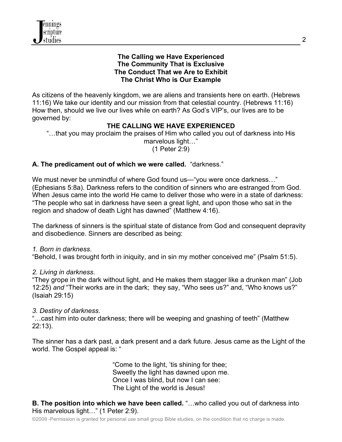### **The Calling we Have Experienced The Community That is Exclusive The Conduct That we Are to Exhibit The Christ Who is Our Example**

As citizens of the heavenly kingdom, we are aliens and transients here on earth. (Hebrews 11:16) We take our identity and our mission from that celestial country. (Hebrews 11:16) How then, should we live our lives while on earth? As God's VIP's, our lives are to be governed by:

# **THE CALLING WE HAVE EXPERIENCED**

"…that you may proclaim the praises of Him who called you out of darkness into His marvelous light…" (1 Peter 2:9)

# **A. The predicament out of which we were called***.* "darkness."

We must never be unmindful of where God found us—"you were once darkness…" (Ephesians 5:8a). Darkness refers to the condition of sinners who are estranged from God. When Jesus came into the world He came to deliver those who were in a state of darkness: "The people who sat in darkness have seen a great light, and upon those who sat in the region and shadow of death Light has dawned" (Matthew 4:16).

The darkness of sinners is the spiritual state of distance from God and consequent depravity and disobedience. Sinners are described as being:

### *1. Born in darkness*.

"Behold, I was brought forth in iniquity, and in sin my mother conceived me" (Psalm 51:5).

### *2. Living in darkness*.

"They grope in the dark without light, and He makes them stagger like a drunken man" (Job 12:25) *and* "Their works are in the dark; they say, "Who sees us?" and, "Who knows us?" (Isaiah 29:15)

# *3. Destiny of darkness*.

"…cast him into outer darkness; there will be weeping and gnashing of teeth" (Matthew 22:13).

The sinner has a dark past, a dark present and a dark future. Jesus came as the Light of the world. The Gospel appeal is: "

> "Come to the light, 'tis shining for thee; Sweetly the light has dawned upon me. Once I was blind, but now I can see: The Light of the world is Jesus!

**B. The position into which we have been called.** "...who called you out of darkness into His marvelous light…" (1 Peter 2:9).

©2009 -Permission is granted for personal use small group Bible studies, on the condition that no charge is made.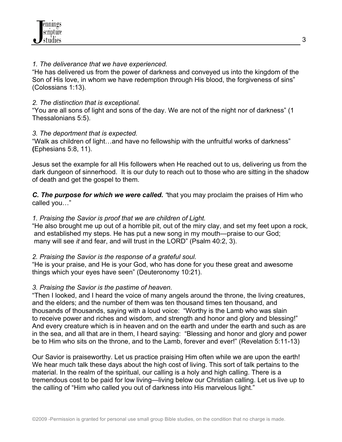## *1. The deliverance that we have experienced.*

"He has delivered us from the power of darkness and conveyed us into the kingdom of the Son of His love, in whom we have redemption through His blood, the forgiveness of sins" (Colossians 1:13).

## *2. The distinction that is exceptional.*

"You are all sons of light and sons of the day. We are not of the night nor of darkness" (1 Thessalonians 5:5).

# *3. The deportment that is expected.*

"Walk as children of light…and have no fellowship with the unfruitful works of darkness" **(**Ephesians 5:8, 11).

Jesus set the example for all His followers when He reached out to us, delivering us from the dark dungeon of sinnerhood. It is our duty to reach out to those who are sitting in the shadow of death and get the gospel to them.

*C. The purpose for which we were called. "*that you may proclaim the praises of Him who called you…"

## *1. Praising the Savior is proof that we are children of Light.*

"He also brought me up out of a horrible pit, out of the miry clay, and set my feet upon a rock, and established my steps. He has put a new song in my mouth—praise to our God; many will see *it* and fear, and will trust in the LORD" (Psalm 40:2, 3).

# *2. Praising the Savior is the response of a grateful soul.*

"He is your praise, and He is your God, who has done for you these great and awesome things which your eyes have seen" (Deuteronomy 10:21).

# *3. Praising the Savior is the pastime of heaven.*

"Then I looked, and I heard the voice of many angels around the throne, the living creatures, and the elders; and the number of them was ten thousand times ten thousand, and thousands of thousands, saying with a loud voice: "Worthy is the Lamb who was slain to receive power and riches and wisdom, and strength and honor and glory and blessing!" And every creature which is in heaven and on the earth and under the earth and such as are in the sea, and all that are in them, I heard saying: "Blessing and honor and glory and power be to Him who sits on the throne, and to the Lamb, forever and ever!" (Revelation 5:11-13)

Our Savior is praiseworthy. Let us practice praising Him often while we are upon the earth! We hear much talk these days about the high cost of living. This sort of talk pertains to the material. In the realm of the spiritual, our calling is a holy and high calling. There is a tremendous cost to be paid for low living—living below our Christian calling. Let us live up to the calling of "Him who called you out of darkness into His marvelous light."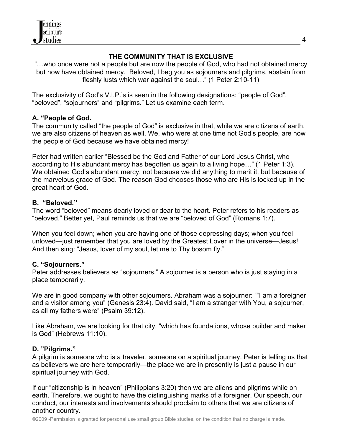

# **THE COMMUNITY THAT IS EXCLUSIVE**

"…who once were not a people but are now the people of God, who had not obtained mercy but now have obtained mercy. Beloved, I beg you as sojourners and pilgrims, abstain from fleshly lusts which war against the soul…" (1 Peter 2:10-11)

The exclusivity of God's V.I.P.'s is seen in the following designations: "people of God", "beloved", "sojourners" and "pilgrims." Let us examine each term.

## **A. "People of God.**

The community called "the people of God" is exclusive in that, while we are citizens of earth, we are also citizens of heaven as well. We, who were at one time not God's people, are now the people of God because we have obtained mercy!

Peter had written earlier "Blessed be the God and Father of our Lord Jesus Christ, who according to His abundant mercy has begotten us again to a living hope…" (1 Peter 1:3). We obtained God's abundant mercy, not because we did anything to merit it, but because of the marvelous grace of God. The reason God chooses those who are His is locked up in the great heart of God.

## **B. "Beloved."**

The word "beloved" means dearly loved or dear to the heart. Peter refers to his readers as "beloved." Better yet, Paul reminds us that we are "beloved of God" (Romans 1:7).

When you feel down; when you are having one of those depressing days; when you feel unloved—just remember that you are loved by the Greatest Lover in the universe—Jesus! And then sing: "Jesus, lover of my soul, let me to Thy bosom fly."

# **C. "Sojourners."**

Peter addresses believers as "sojourners." A sojourner is a person who is just staying in a place temporarily.

We are in good company with other sojourners. Abraham was a sojourner: "I am a foreigner and a visitor among you" (Genesis 23:4). David said, "I am a stranger with You, a sojourner, as all my fathers were" (Psalm 39:12).

Like Abraham, we are looking for that city, "which has foundations, whose builder and maker is God" (Hebrews 11:10).

# **D. "Pilgrims."**

A pilgrim is someone who is a traveler, someone on a spiritual journey. Peter is telling us that as believers we are here temporarily—the place we are in presently is just a pause in our spiritual journey with God.

If our "citizenship is in heaven" (Philippians 3:20) then we are aliens and pilgrims while on earth. Therefore, we ought to have the distinguishing marks of a foreigner. Our speech, our conduct, our interests and involvements should proclaim to others that we are citizens of another country.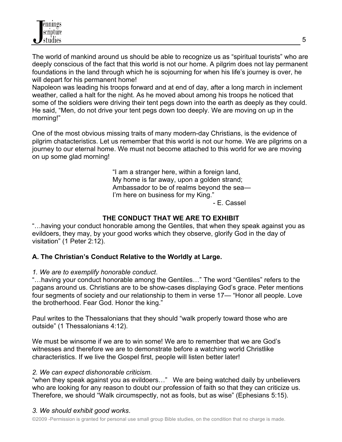The world of mankind around us should be able to recognize us as "spiritual tourists" who are deeply conscious of the fact that this world is not our home. A pilgrim does not lay permanent foundations in the land through which he is sojourning for when his life's journey is over, he will depart for his permanent home!

Napoleon was leading his troops forward and at end of day, after a long march in inclement weather, called a halt for the night. As he moved about among his troops he noticed that some of the soldiers were driving their tent pegs down into the earth as deeply as they could. He said, "Men, do not drive your tent pegs down too deeply. We are moving on up in the morning!"

One of the most obvious missing traits of many modern-day Christians, is the evidence of pilgrim chatacteristics. Let us remember that this world is not our home. We are pilgrims on a journey to our eternal home. We must not become attached to this world for we are moving on up some glad morning!

> "I am a stranger here, within a foreign land, My home is far away, upon a golden strand; Ambassador to be of realms beyond the sea— I'm here on business for my King."

- E. Cassel

# **THE CONDUCT THAT WE ARE TO EXHIBIT**

"…having your conduct honorable among the Gentiles, that when they speak against you as evildoers, they may, by your good works which they observe, glorify God in the day of visitation" (1 Peter 2:12).

# **A. The Christian's Conduct Relative to the Worldly at Large.**

# *1. We are to exemplify honorable conduct*.

"…having your conduct honorable among the Gentiles…" The word "Gentiles" refers to the pagans around us. Christians are to be show-cases displaying God's grace. Peter mentions four segments of society and our relationship to them in verse 17— "Honor all people. Love the brotherhood. Fear God. Honor the king."

Paul writes to the Thessalonians that they should "walk properly toward those who are outside" (1 Thessalonians 4:12).

We must be winsome if we are to win some! We are to remember that we are God's witnesses and therefore we are to demonstrate before a watching world Christlike characteristics. If we live the Gospel first, people will listen better later!

### *2. We can expect dishonorable criticism.*

"when they speak against you as evildoers…" We are being watched daily by unbelievers who are looking for any reason to doubt our profession of faith so that they can criticize us. Therefore, we should "Walk circumspectly, not as fools, but as wise" (Ephesians 5:15).

# *3. We should exhibit good works*.

©2009 -Permission is granted for personal use small group Bible studies, on the condition that no charge is made.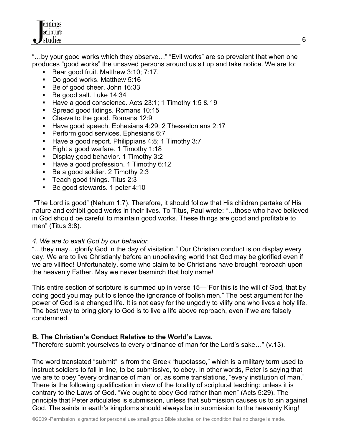"…by your good works which they observe…" "Evil works" are so prevalent that when one produces "good works" the unsaved persons around us sit up and take notice. We are to:

- Bear good fruit. Matthew 3:10; 7:17.
- Do good works. Matthew 5:16
- Be of good cheer. John 16:33
- Be good salt. Luke 14:34
- Have a good conscience. Acts 23:1; 1 Timothy 1:5 & 19
- Spread good tidings. Romans 10:15
- Cleave to the good. Romans 12:9
- Have good speech. Ephesians 4:29; 2 Thessalonians 2:17
- Perform good services. Ephesians 6:7
- Have a good report. Philippians 4:8; 1 Timothy 3:7
- Fight a good warfare. 1 Timothy 1:18
- Display good behavior. 1 Timothy 3:2
- Have a good profession. 1 Timothy 6:12
- Be a good soldier. 2 Timothy 2:3
- Teach good things. Titus 2:3
- Be good stewards. 1 peter 4:10

"The Lord is good" (Nahum 1:7). Therefore, it should follow that His children partake of His nature and exhibit good works in their lives. To Titus, Paul wrote: "…those who have believed in God should be careful to maintain good works. These things are good and profitable to men" (Titus 3:8).

### *4. We are to exalt God by our behavior.*

"…they may…glorify God in the day of visitation." Our Christian conduct is on display every day. We are to live Christianly before an unbelieving world that God may be glorified even if we are vilified! Unfortunately, some who claim to be Christians have brought reproach upon the heavenly Father. May we never besmirch that holy name!

This entire section of scripture is summed up in verse 15—"For this is the will of God, that by doing good you may put to silence the ignorance of foolish men." The best argument for the power of God is a changed life. It is not easy for the ungodly to vilify one who lives a holy life. The best way to bring glory to God is to live a life above reproach, even if we are falsely condemned.

# **B. The Christian's Conduct Relative to the World's Laws.**

"Therefore submit yourselves to every ordinance of man for the Lord's sake…" (v.13).

The word translated "submit" is from the Greek "hupotasso," which is a military term used to instruct soldiers to fall in line, to be submissive, to obey. In other words, Peter is saying that we are to obey "every ordinance of man" or, as some translations, "every institution of man." There is the following qualification in view of the totality of scriptural teaching: unless it is contrary to the Laws of God. "We ought to obey God rather than men" (Acts 5:29). The principle that Peter articulates is submission, unless that submission causes us to sin against God. The saints in earth's kingdoms should always be in submission to the heavenly King!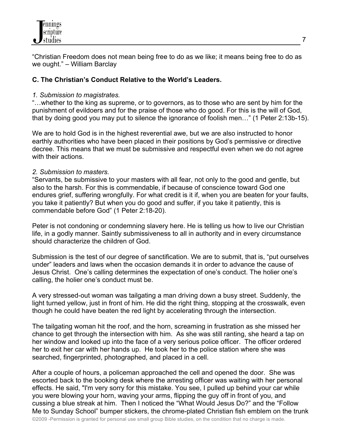"Christian Freedom does not mean being free to do as we like; it means being free to do as we ought." – William Barclay

## **C. The Christian's Conduct Relative to the World's Leaders.**

#### *1. Submission to magistrates.*

"…whether to the king as supreme, or to governors, as to those who are sent by him for the punishment of evildoers and for the praise of those who do good. For this is the will of God, that by doing good you may put to silence the ignorance of foolish men…" (1 Peter 2:13b-15).

We are to hold God is in the highest reverential awe, but we are also instructed to honor earthly authorities who have been placed in their positions by God's permissive or directive decree. This means that we must be submissive and respectful even when we do not agree with their actions.

### *2. Submission to masters.*

"Servants, be submissive to your masters with all fear, not only to the good and gentle, but also to the harsh. For this is commendable, if because of conscience toward God one endures grief, suffering wrongfully. For what credit is it if, when you are beaten for your faults, you take it patiently? But when you do good and suffer, if you take it patiently, this is commendable before God" (1 Peter 2:18-20).

Peter is not condoning or condemning slavery here. He is telling us how to live our Christian life, in a godly manner. Saintly submissiveness to all in authority and in every circumstance should characterize the children of God.

Submission is the test of our degree of sanctification. We are to submit, that is, "put ourselves under" leaders and laws when the occasion demands it in order to advance the cause of Jesus Christ. One's calling determines the expectation of one's conduct. The holier one's calling, the holier one's conduct must be.

A very stressed-out woman was tailgating a man driving down a busy street. Suddenly, the light turned yellow, just in front of him. He did the right thing, stopping at the crosswalk, even though he could have beaten the red light by accelerating through the intersection.

The tailgating woman hit the roof, and the horn, screaming in frustration as she missed her chance to get through the intersection with him. As she was still ranting, she heard a tap on her window and looked up into the face of a very serious police officer. The officer ordered her to exit her car with her hands up. He took her to the police station where she was searched, fingerprinted, photographed, and placed in a cell.

After a couple of hours, a policeman approached the cell and opened the door. She was escorted back to the booking desk where the arresting officer was waiting with her personal effects. He said, "I'm very sorry for this mistake. You see, I pulled up behind your car while you were blowing your horn, waving your arms, flipping the guy off in front of you, and cussing a blue streak at him. Then I noticed the "What Would Jesus Do?" and the "Follow Me to Sunday School" bumper stickers, the chrome-plated Christian fish emblem on the trunk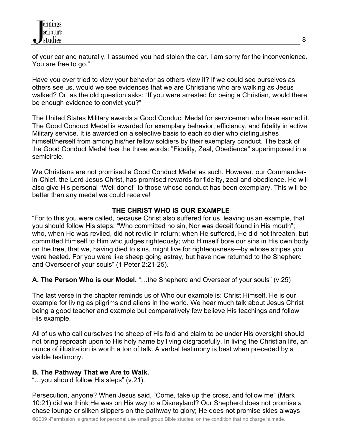of your car and naturally, I assumed you had stolen the car. I am sorry for the inconvenience. You are free to go."

Have you ever tried to view your behavior as others view it? If we could see ourselves as others see us, would we see evidences that we are Christians who are walking as Jesus walked? Or, as the old question asks: "If you were arrested for being a Christian, would there be enough evidence to convict you?"

The United States Military awards a Good Conduct Medal for servicemen who have earned it. The Good Conduct Medal is awarded for exemplary behavior, efficiency, and fidelity in active Military service. It is awarded on a selective basis to each soldier who distinguishes himself/herself from among his/her fellow soldiers by their exemplary conduct. The back of the Good Conduct Medal has the three words: "Fidelity, Zeal, Obedience" superimposed in a semicircle.

We Christians are not promised a Good Conduct Medal as such. However, our Commanderin-Chief, the Lord Jesus Christ, has promised rewards for fidelity, zeal and obedience. He will also give His personal "Well done!" to those whose conduct has been exemplary. This will be better than any medal we could receive!

# **THE CHRIST WHO IS OUR EXAMPLE**

"For to this you were called, because Christ also suffered for us, leaving us an example, that you should follow His steps: "Who committed no sin, Nor was deceit found in His mouth"; who, when He was reviled, did not revile in return; when He suffered, He did not threaten, but committed Himself to Him who judges righteously; who Himself bore our sins in His own body on the tree, that we, having died to sins, might live for righteousness—by whose stripes you were healed. For you were like sheep going astray, but have now returned to the Shepherd and Overseer of your souls" (1 Peter 2:21-25).

### **A. The Person Who is our Model.** "…the Shepherd and Overseer of your souls" (v.25)

The last verse in the chapter reminds us of Who our example is: Christ Himself. He is our example for living as pilgrims and aliens in the world. We hear much talk about Jesus Christ being a good teacher and example but comparatively few believe His teachings and follow His example.

All of us who call ourselves the sheep of His fold and claim to be under His oversight should not bring reproach upon to His holy name by living disgracefully. In living the Christian life, an ounce of illustration is worth a ton of talk. A verbal testimony is best when preceded by a visible testimony.

### **B. The Pathway That we Are to Walk.**

"…you should follow His steps" (v.21).

Persecution, anyone? When Jesus said, "Come, take up the cross, and follow me" (Mark 10:21) did we think He was on His way to a Disneyland? Our Shepherd does not promise a chase lounge or silken slippers on the pathway to glory; He does not promise skies always

8

©2009 -Permission is granted for personal use small group Bible studies, on the condition that no charge is made.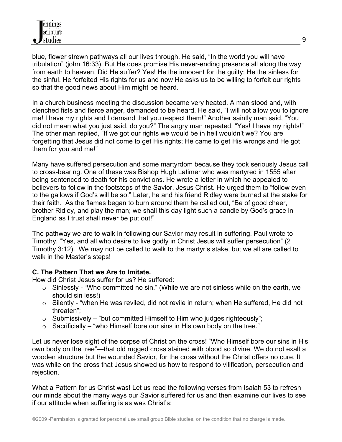blue, flower strewn pathways all our lives through. He said, "In the world you will have tribulation" (john 16:33). But He does promise His never-ending presence all along the way from earth to heaven. Did He suffer? Yes! He the innocent for the guilty; He the sinless for the sinful. He forfeited His rights for us and now He asks us to be willing to forfeit our rights so that the good news about Him might be heard.

In a church business meeting the discussion became very heated. A man stood and, with clenched fists and fierce anger, demanded to be heard. He said, "I will not allow you to ignore me! I have my rights and I demand that you respect them!" Another saintly man said, "You did not mean what you just said, do you?" The angry man repeated, "Yes! I have my rights!" The other man replied, "If we got our rights we would be in hell wouldn't we? You are forgetting that Jesus did not come to get His rights; He came to get His wrongs and He got them for you and me!"

Many have suffered persecution and some martyrdom because they took seriously Jesus call to cross-bearing. One of these was Bishop Hugh Latimer who was martyred in 1555 after being sentenced to death for his convictions. He wrote a letter in which he appealed to believers to follow in the footsteps of the Savior, Jesus Christ. He urged them to "follow even to the gallows if God's will be so." Later, he and his friend Ridley were burned at the stake for their faith. As the flames began to burn around them he called out, "Be of good cheer, brother Ridley, and play the man; we shall this day light such a candle by God's grace in England as I trust shall never be put out!"

The pathway we are to walk in following our Savior may result in suffering. Paul wrote to Timothy, "Yes, and all who desire to live godly in Christ Jesus will suffer persecution" (2 Timothy 3:12). We may not be called to walk to the martyr's stake, but we all are called to walk in the Master's steps!

# **C. The Pattern That we Are to Imitate.**

How did Christ Jesus suffer for us? He suffered:

- $\circ$  Sinlessly "Who committed no sin." (While we are not sinless while on the earth, we should sin less!)
- $\circ$  Silently "when He was reviled, did not revile in return; when He suffered, He did not threaten";
- $\circ$  Submissively "but committed Himself to Him who judges righteously";
- $\circ$  Sacrificially "who Himself bore our sins in His own body on the tree."

Let us never lose sight of the corpse of Christ on the cross! "Who Himself bore our sins in His own body on the tree"—that old rugged cross stained with blood so divine. We do not exalt a wooden structure but the wounded Savior, for the cross without the Christ offers no cure. It was while on the cross that Jesus showed us how to respond to vilification, persecution and rejection.

What a Pattern for us Christ was! Let us read the following verses from Isaiah 53 to refresh our minds about the many ways our Savior suffered for us and then examine our lives to see if our attitude when suffering is as was Christ's: